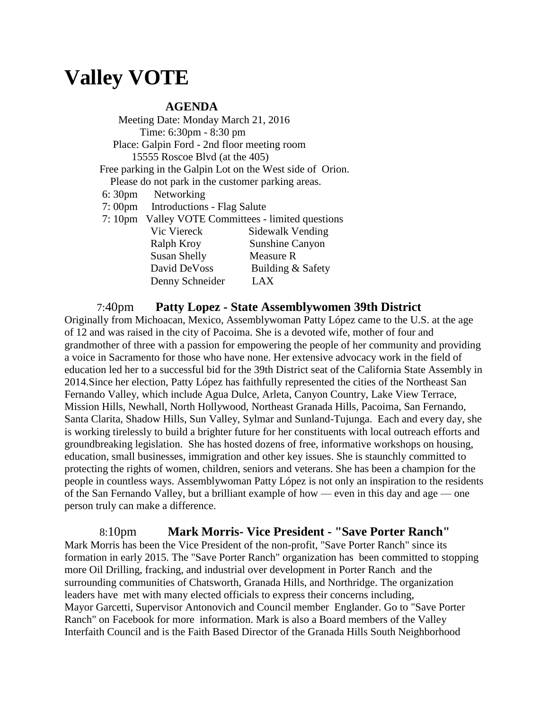## **Valley VOTE**

## **AGENDA**

 Meeting Date: Monday March 21, 2016 Time: 6:30pm - 8:30 pm Place: Galpin Ford - 2nd floor meeting room 15555 Roscoe Blvd (at the 405) Free parking in the Galpin Lot on the West side of Orion. Please do not park in the customer parking areas. 6: 30pm Networking 7: 00pm Introductions - Flag Salute 7: 10pm Valley VOTE Committees - limited questions Vic Viereck Sidewalk Vending Ralph Kroy Sunshine Canyon Susan Shelly Measure R David DeVoss Building & Safety Denny Schneider LAX

## 7:40pm **Patty Lopez - State Assemblywomen 39th District**

Originally from Michoacan, Mexico, Assemblywoman Patty López came to the U.S. at the age of 12 and was raised in the city of Pacoima. She is a devoted wife, mother of four and grandmother of three with a passion for empowering the people of her community and providing a voice in Sacramento for those who have none. Her extensive advocacy work in the field of education led her to a successful bid for the 39th District seat of the California State Assembly in 2014.Since her election, Patty López has faithfully represented the cities of the Northeast San Fernando Valley, which include Agua Dulce, Arleta, Canyon Country, Lake View Terrace, Mission Hills, Newhall, North Hollywood, Northeast Granada Hills, Pacoima, San Fernando, Santa Clarita, Shadow Hills, Sun Valley, Sylmar and Sunland-Tujunga. Each and every day, she is working tirelessly to build a brighter future for her constituents with local outreach efforts and groundbreaking legislation. She has hosted dozens of free, informative workshops on housing, education, small businesses, immigration and other key issues. She is staunchly committed to protecting the rights of women, children, seniors and veterans. She has been a champion for the people in countless ways. Assemblywoman Patty López is not only an inspiration to the residents of the San Fernando Valley, but a brilliant example of how — even in this day and age — one person truly can make a difference.

 8:10pm **Mark Morris- Vice President - "Save Porter Ranch"** Mark Morris has been the Vice President of the non-profit, "Save Porter Ranch" since its formation in early 2015. The "Save Porter Ranch" organization has been committed to stopping more Oil Drilling, fracking, and industrial over development in Porter Ranch and the surrounding communities of Chatsworth, Granada Hills, and Northridge. The organization leaders have met with many elected officials to express their concerns including, Mayor Garcetti, Supervisor Antonovich and Council member Englander. Go to "Save Porter Ranch" on Facebook for more information. Mark is also a Board members of the Valley Interfaith Council and is the Faith Based Director of the Granada Hills South Neighborhood